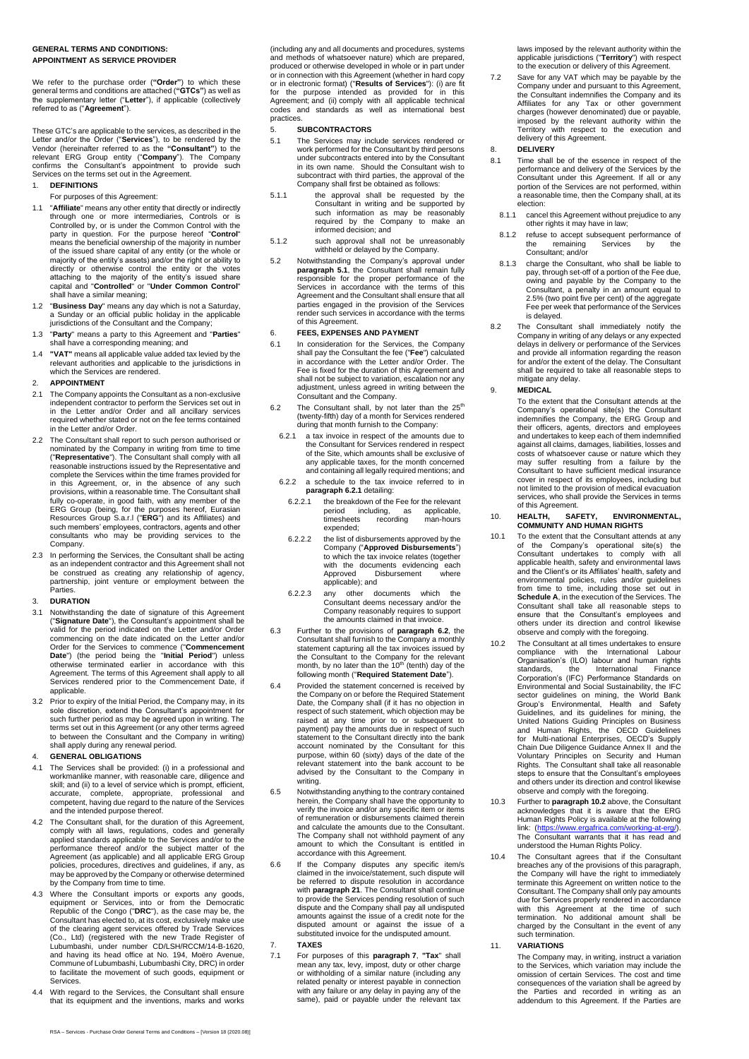## **GENERAL TERMS AND CONDITIONS: APPOINTMENT AS SERVICE PROVIDER**

We refer to the purchase order (**"Order"**) to which these general terms and conditions are attached (**"GTCs"**) as well as the supplementary letter ("**Letter**"), if applicable (collectively referred to as ("**Agreement**").

These GTC's are applicable to the services, as described in the Letter and/or the Order ("Services"), to be rendered by the Vendor (hereinafter referred to as the "Consultant") to the relevant ERG Group entity ("Company").

## 1. **DEFINITIONS**

## For purposes of this Agreement:

- 1.1 "**Affiliate**" means any other entity that directly or indirectly through one or more intermediaries, Controls or is<br>Controlled by, or is under the Common Control with the<br>party in question. For the purpose hereof "Control"<br>means the beneficial ownership of the majority in number<br>of the majority of the entity's assets) and/or the right or ability to<br>directly or otherwise control the entity or the votes<br>attaching to the majority of the entity's issued share<br>capital and "**Controlled**" or "**Under Common Cont** shall have a similar meaning;
- 1.2 "**Business Day**" means any day which is not a Saturday, a Sunday or an official public holiday in the applicable jurisdictions of the Consultant and the Company;
- 1.3 "**Party**" means a party to this Agreement and "**Parties**" shall have a corresponding meaning; and
- 1.4 **"VAT"** means all applicable value added tax levied by the relevant authorities and applicable to the jurisdictions in which the Services are rendered.

## 2. **APPOINTMENT**

- 2.1 The Company appoints the Consultant as a non-exclusive independent contractor to perform the Services set out in<br>in the Letter and/or Order and all ancillary services<br>in the Letter and/order and all ancillary services<br> in the Letter and/or Order.
- 2.2 The Consultant shall report to such person authorised or<br>nominated by the Company in writing from time to time<br>("**Representative**"). The Consultant shall comply with all<br>reasonable instructions issued by the Representa complete the Services within the time frames provided for in this Agreement, or, in the absence of any such<br>provisions, within a reasonable time. The Consultant shall<br>fully co-operate, in good faith, with any member of the<br>ERG Group (being, for the purposes hereof, Eurasian<br>Resou such members' employees, contractors, agents and other consultants who may be providing services to the Company.
- 2.3 In performing the Services, the Consultant shall be acting as an independent contractor and this Agreement shall not be construed as creating any relationship of agency, partnership, joint venture or employment between the Parties.

## 3. **DURATION**

- 3.1 Notwithstanding the date of signature of this Agreement ("**Signature Date**"), the Consultant's appointment shall be valid for the period indicated on the Letter and/or Order<br>commencing on the date indicated on the Letter and/or<br>Order for the Services to commence ("**Commencement**<br>**Date"**) (the period being the "**Initial Period**") unless<br> applicable.
- 3.2 Prior to expiry of the Initial Period, the Company may, in its sole discretion, extend the Consultant's appointment for such further period as may be agreed upon in writing. The terms set out in this Agreement (or any other terms agreed to between the Consultant and the Company in writing) shall apply during any renewal period.

## 4. **GENERAL OBLIGATIONS**

- 4.1 The Services shall be provided: (i) in a professional and workmanlike manner, with reasonable care, diligence and skill; and (ii) to a level of service which is prompt, efficient, accurate, complete, appropriate, professional and competent, having due regard to the nature of the Services and the intended purpose thereof.
- 4.2 The Consultant shall, for the duration of this Agreement, comply with all laws, regulations, codes and generally applied standards applicable to the Services and/or to the performance thereof and/or the subject matter of the Agreement (as applicable) and all applicable ERG Group policies, procedures, directives and guidelines, if any, as may be approved by the Company or otherwise determined by the Company from time to time.
- 4.3 Where the Consultant imports or exports any goods, equipment or Services, into or from the Democratic Republic of the Congo ("**DRC**"), as the case may be, the Consultant has elected to, at its cost, exclusively make use of the clearing agent services offered by Trade Services (Co., Ltd) (registered with the new Trade Register of Lubumbashi, under number CD/LSH/RCCM/14-B-1620, and having its head office at No. 194, Moëro Avenue, Commune of Lubumbashi, Lubumbashi City, DRC) in order to facilitate the movement of such goods, equipment or Services.
- With regard to the Services, the Consultant shall ensure that its equipment and the inventions, marks and works

(including any and all documents and procedures, systems and methods of whatsoever nature) which are prepared, produced or otherwise developed in whole or in part under or in connection with this Agreement (whether in hard copy or in electronic format) ("**Results of Services**"): (i) are fit<br>for the purpose intended as provided for in this<br>Agreement; and (ii) comply with all applicable technical<br>codes and standards as well as international best practices.

#### 5. **SUBCONTRACTORS**

- <span id="page-0-0"></span>5.1 The Services may include services rendered or work performed for the Consultant by third persons under subcontracts entered into by the Consultant in its own name. Should the Consultant wish to subcontract with third parties, the approval of the Company shall first be obtained as follows:
- 5.1.1 the approval shall be requested by the Consultant in writing and be supported by such information as may be reasonably required by the Company to make an informed decision; and
- 5.1.2 such approval shall not be unreasonably withheld or delayed by the Company.
- 5.2 Notwithstanding the Company's approval under **paragraph [5.1](#page-0-0)**, the Consultant shall remain fully responsible for the proper performance of the Services in accordance with the terms of this Agreement and the Consultant shall ensure that all parties engaged in the provision of the Services render such services in accordance with the terms of this Agreement.

#### 6. **FEES, EXPENSES AND PAYMENT**

- 6.1 In consideration for the Services, the Company shall pay the Consultant the fee ("**Fee**") calculated in accordance with the Letter and/or Order. The Fee is fixed for the duration of this Agreement and shall not be subject to variation, escalation nor any adjustment, unless agreed in writing between the Consultant and the Company.
- <span id="page-0-2"></span>6.2 The Consultant shall, by not later than the  $25<sup>th</sup>$  (twenty-fifth) day of a month for Services rendered during that month furnish to the Company:
- <span id="page-0-1"></span>6.2.1 a tax invoice in respect of the amounts due to the Consultant for Services rendered in respect of the Site, which amounts shall be exclusive of any applicable taxes, for the month concerned and containing all legally required mentions; and
- 6.2.2 a schedule to the tax invoice referred to in **paragraph [6.2.1](#page-0-1)** detailing:
- 6.2.2.1 the breakdown of the Fee for the relevant<br>period including, as applicable, period including, as applicable, timesheets recording man-hours expended;
- 6.2.2.2 the list of disbursements approved by the Company ("**Approved Disbursements**") to which the tax invoice relates (together with the documents evidencing each Approved Disbursement where applicable); and
- 6.2.2.3 any other documents which the Consultant deems necessary and/or the Company reasonably requires to support the amounts claimed in that invoice.
- 6.3 Further to the provisions of **paragraph [6.2](#page-0-2)**, the Consultant shall furnish to the Company a monthly the statement capturing all the tax invoices issued by the Consultant to the Company for the relevant month, by no la
- 6.4 Provided the statement concerned is received by the Company on or before the Required Statement Date, the Company shall (if it has no objection in respect of such statement, which objection may be<br>raised at any time prior to or subsequent to<br>payment) pay the amounts due in respect of such<br>statement to the Consultant directly into the bank<br>account nominated by the Con purpose, within 60 (sixty) days of the date of the relevant statement into the bank account to be advised by the Consultant to the Company in writing.
- 6.5 Notwithstanding anything to the contrary contained herein, the Company shall have the opportunity to verify the invoice and/or any specific item or items of remuneration or disbursements claimed therein and calculate the amounts due to the Consultant. The Company shall not withhold payment of any amount to which the Consultant is entitled in accordance with this Agreement.
- 6.6 If the Company disputes any specific item/s claimed in the invoice/statement, such dispute will be referred to dispute resolution in accordance with **paragraph [21](#page-2-0)**. The Consultant shall continue to provide the Services pending resolution of such dispute and the Company shall pay all undisputed amounts against the issue of a credit note for the disputed amount or against the issue of a substituted invoice for the undisputed amount. 7. **TAXES**
- <span id="page-0-3"></span>7.1 For purposes of this **paragraph [7](#page-0-3)**, **"Tax**" shall mean any tax, levy, impost, duty or other charge or withholding of a similar nature (including any related penalty or interest payable in connection with any failure or any delay in paying any of the same), paid or payable under the relevant tax

laws imposed by the relevant authority within the applicable jurisdictions ("Territory") with respect to the execution or delivery of this Agreement.

7.2 Save for any VAT which may be payable by the Company under and pursuant to this Agreement, the Consultant indemnifies the Company and its Affiliates for any Tax or other government charges (however denominated) due or payable, imposed by the relevant authority within the Territory with respect to the execution and delivery of this Agreement.

## 8. **DELIVERY**

- 8.1 Time shall be of the essence in respect of the performance and delivery of the Services by the Consultant under this Agreement. If all or any portion of the Services are not performed, within a reasonable time, then the Company shall, at its election:
	- 8.1.1 cancel this Agreement without prejudice to any other rights it may have in law;
	- 8.1.2 refuse to accept subsequent performance of the remaining Services by the Consultant; and/or
- 8.1.3 charge the Consultant, who shall be liable to pay, through set-off of a portion of the Fee due, owing and payable by the Company to the Consultant, a penalty in an amount equal to 2.5% (two point five per cent) of th is delayed.
- 8.2 The Consultant shall immediately notify the Company in writing of any delays or any expected delays in delivery or performance of the Services and provide all information regarding the reason for and/or the extent of t shall be required to take all reasonable steps to mitigate any delay.
- 9. **MEDICAL**

To the extent that the Consultant attends at the Company's operational stie(s) the Consultant indemnifies the Company, the ERG Group and their officers, agents, directors and employees and undertakes to keep each of them i costs of whatsoever cause or nature which they may suffer resulting from a failure by the Consultant to have sufficient medical insurance cover in respect of its employees, including but not limited to the provision of medical evacuation services, who shall provide the Services in terms of this Agreement.

# 10. **HEALTH, SAFETY, ENVIRONMENTAL, COMMUNITY AND HUMAN RIGHTS**

- 10.1 To the extent that the Consultant attends at any of the Company's operational site(s) the Consultant undertakes to comply with all applicable health, safety and environmental laws and the Client's or its Affiliates' health, safety and<br>environmental policies, rules and/or guidelines<br>from time to time, including those set out in<br>**Schedule A**, in the execution of the Services. The Consultant shall take all reasonable steps to ensure that the Consultant's employees and others under its direction and control likewise observe and comply with the foregoing.
- 10.2 The Consultant at all times undertakes to ensure compliance with the International Labour Organisation's (ILO) labour and human rights standards, the International Finance Corporation's (IFC) Performance Standards on Environmental and Social Sustainability, the IFC<br>sector guidelines on mining, the World Bank<br>Group's Environmental, Health and Safety<br>Guidelines, and its guidelines for mining, the<br>United Nations Guiding Principles on Busi Chain Due Diligence Guidance Annex II and the Voluntary Principles on Security and Human Rights. The Consultant shall take all reasonable steps to ensure that the Consultant's employees and others under its direction and control likewise observe and comply with the foregoing.
- 10.3 Further to **paragraph 10.2** above, the Consultant acknowledges that it is aware that the ERG Human Rights Policy is available at the following link: [\(https://www.ergafrica.com/working-at-erg/\).](https://www.ergafrica.com/working-at-erg/)<br>The Consultant warrants that it has read and understood the Human Rights Policy.
- 10.4 The Consultant agrees that if the Consultant breaches any of the provisions of this paragraph, the Company will have the right to immediately<br>terminate this Agreement on written notice to the<br>Consultant. The Company shall only pay amounts<br>due for Services properly rendered in accordance with this Agreement at the time of such termination. No additional amount shall be charged by the Consultant in the event of any such termination.

#### 11. **VARIATIONS**

The Company may, in writing, instruct a variation to the Services, which variation may include the omission of certain Services. The cost and time consequences of the variation shall be agreed by the Parties and recorded in writing as an addendum to this Agreement. If the Parties are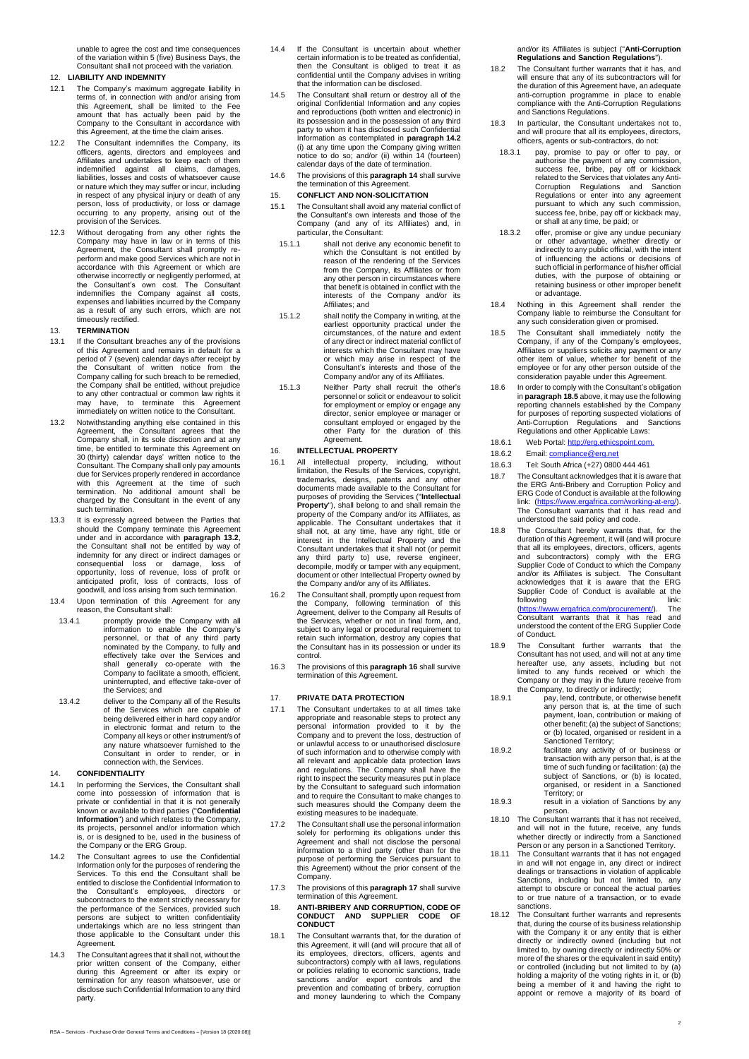unable to agree the cost and time consequences of the variation within 5 (five) Business Days, the Consultant shall not proceed with the variation.

## 12. **LIABILITY AND INDEMNITY**

- 12.1 The Company's maximum aggregate liability in terms of, in connection with and/or arising from this Agreement, shall be limited to the Fee amount that has actually been paid by the Company to the Consultant in accordance with this Agreement, at the time the claim arises.
- 12.2 The Consultant indemnifies the Company, its officers, agents, directors and employees and Affiliates and undertakes to keep each of them indemnified against all claims, damages, liabilities, losses and costs of whatsoever cause or nature which they may suffer or incur, including in respect of any physical injury or death of any person, loss of productivity, or loss or damage occurring to any property, arising out of the provision of the Services.
- 12.3 Without derogating from any other rights the Company may have in law or in terms of this<br>Agreement, the Consultant shall promptly re-<br>perform and make good Services which are not in<br>accordance with this Agreement or which are<br>otherwise incorrectly or negligently perf timeously rectified.

## 13. **TERMINATION**

- 13.1 If the Consultant breaches any of the provisions of this Agreement and remains in default for a<br>period of 7 (seven) calendar days after receipt by<br>the Consultant of written notice from the<br>Company calling for such breach to be remedied,<br>the Company shall be entitled, wit to any other contractual or common law rights it may have, to terminate this Agreement immediately on written notice to the Consultant.
- <span id="page-1-0"></span>13.2 Notwithstanding anything else contained in this Agreement, the Consultant agrees that the Company shall, in its sole discretion and at any time, be entitled to terminate this Agreement on 30 (thirty) calendar days' written notice to the Consultant. The Company shall only pay amounts due for Services properly rendered in accordance with this Agreement at the time of such termination. No additional amount shall be charged by the Consultant in the event of any such termination.
- 13.3 It is expressly agreed between the Parties that<br>should the Company terminate this Agreement<br>under and in accordance with **paragraph [13.2](#page-1-0)**,<br>the Consultant shall not be entitled by way of<br>indemnity for any direct or ind consequential loss or damage, loss of opportunity, loss of revenue, loss of profit or anticipated profit, loss of contracts, loss of goodwill, and loss arising from such termination.
- 13.4 Upon termination of this Agreement for any reason, the Consultant shall:
- 13.4.1 promptly provide the Company with all information to enable the Company's<br>personnel, or that of any third party<br>nominated by the Company, to fully and<br>effectively take over the Services and<br>shall generally co-operate with the<br>Company to facilitate a smooth, ef the Services; and
- 13.4.2 deliver to the Company all of the Results of the Services which are capable of being delivered either in hard copy and/or in electronic format and return to the Company all keys or other instrument/s of any nature whatsoever furnished to the Consultant in order to render, or in connection with, the Services.

## <span id="page-1-2"></span>14. **CONFIDENTIALITY**

- 14.1 In performing the Services, the Consultant shall come into possession of information that is private or confidential in that it is not generally known or available to third parties ("**Confidential Information**") and which relates to the Company, its projects, personnel and/or information which is, or is designed to be, used in the business of the Company or the ERG Group.
- <span id="page-1-1"></span>14.2 The Consultant agrees to use the Confidential Information only for the purposes of rendering the Services. To this end the Consultant shall be entitled to disclose the Confidential Information to the Consultant's employees, directors or subcontractors to the extent strictly necessary for the performance of the Services, provided such<br>persons are subject to written confidentiality<br>undertakings which are no less stringent than<br>those applicable to the Consultant under this Agreement.
- 14.3 The Consultant agrees that it shall not, without the prior written consent of the Company, either<br>during this Agreement or after its expiry or<br>termination for any reason whatsoever, use or<br>disclose such Confidential Information to any third party.
- 14.4 If the Consultant is uncertain about whether certain information is to be treated as confidential, then the Consultant is obliged to treat it as confidential until the Company advises in writing that the information can be disclosed.
- The Consultant shall return or destroy all of the original Confidential Information and any copies and reproductions (both written and electronic) in its possession and in the possession of any third party to whom it has disclosed such Confidential Information as contemplated in **paragraph [14.2](#page-1-1)** (i) at any time upon the Company giving written notice to do so; and/or (ii) within 14 (fourteen) calendar days of the date of termination.
- 14.6 The provisions of this **paragraph [14](#page-1-2)** shall survive the termination of this Agreement.

## 15. **CONFLICT AND NON-SOLICITATION**

- 15.1 The Consultant shall avoid any material conflict of the Consultant's own interests and those of the Company (and any of its Affiliates) and, in particular, the Consultant:
- 15.1.1 shall not derive any economic benefit to which the Consultant is not entitled by reason of the rendering of the Services rendering the Company, its Affiliates or from any other person in circumstances where that benefit is obtained in conflict with the interests of the Company and/or its Affiliates; and
- 15.1.2 shall notify the Company in writing, at the earliest opportunity practical under the circumstances, of the nature and extent of any direct or indirect material conflict of interests which the Consultant may have or which may arise in respect of the Consultant's interests and those of the Company and/or any of its Affiliates.
- 15.1.3 Neither Party shall recruit the other's personnel or solicit or endeavour to solicit for employment or employ or engage any director, senior employee or manager or consultant employed or engaged by the other Party for the duration of this Agreement

#### <span id="page-1-3"></span>16. **INTELLECTUAL PROPERTY**

- 16.1 All intellectual property, including, without limitation, the Results of the Services, copyright, trademarks, designs, patents and any other documents made available to the Consultant for purposes of providing the Services ("**Intellectual Property**"), shall belong to and shall remain the property of the Company and/or its Affiliates, as applicable. The Consultant undertakes that it shall not, at any time, have any right, title or interest in the Intellectual Property and the oriental property and the any third party to) use, reverse engineer, decompile, modify or tamper with any equipment, document or other Intellectual Property owned by the Company and/or any of its Affiliates.
- <span id="page-1-7"></span>16.2 The Consultant shall, promptly upon request from the Company, following termination of this Agreement, deliver to the Company all Results of the Services, whether or not in final form, and, subject to any legal or procedural requirement to retain such information, destroy any copies that the Consultant has in its possession or under its control.
- 16.3 The provisions of this **paragraph [16](#page-1-3)** shall survive termination of this Agreement.

#### <span id="page-1-4"></span>17. **PRIVATE DATA PROTECTION**

- 17.1 The Consultant undertakes to at all times take appropriate and reasonable steps to protect any<br>personal information provided to it by the personal information provided to it by the Company and to prevent the loss, destruction of or unlawful access to or unauthorised disclosure of such information and to otherwise comply with all relevant and applicable data protection laws and regulations. The Company shall have the right to inspect the security measures put in place by the Consultant to safeguard such information and to require the Consultant to make changes to such measures should the Company deem the existing measures to be inadequate.
- 17.2 The Consultant shall use the personal information solely for performing its obligations under this Agreement and shall not disclose the personal information to a third party (other than for the purpose of performing the Services pursuant to this Agreement) without the prior consent of the Company.
- 17.3 The provisions of this **paragraph [17](#page-1-4)** shall survive termination of this Agreement.
- <span id="page-1-6"></span>18. **ANTI-BRIBERY AND CORRUPTION, CODE OF CONDUCT AND SUPPLIER CODE OF CONDUCT**
- 18.1 The Consultant warrants that, for the duration of this Agreement, it will (and will procure that all of its employees, directors, officers, agents and subcontractors) comply with all laws, regulations or policies relating to economic sanctions, trade sanctions and/or export controls and the prevention and combating of bribery, corruption and money laundering to which the Company

and/or its Affiliates is subject ("**Anti-Corruption Regulations and Sanction Regulations**").

- 18.2 The Consultant further warrants that it has, and will ensure that any of its subcontractors will for the duration of this Agreement have, an adequate anti-corruption programme in place to enable compliance with the Anti-Corruption Regulations and Sanctions Regulations.
- In particular, the Consultant undertakes not to, and will procure that all its employees, directors, officers, agents or sub-contractors, do not:
- 18.3.1 pay, promise to pay or offer to pay, or authorise the payment of any commission, success fee, bribe, pay off or kickback related to the Services that violates any Anti-<br>Corruption Regulations and Sanction<br>Regulations or enter into any agreement<br>pursuant to which any such commission,<br>success fee, bribe, pay off or kickback may, or shall at any time, be paid; or
- 18.3.2 offer, promise or give any undue pecuniary or other advantage, whether directly or<br>indirectly to any public official, with the intent<br>of influencing the actions or decisions of<br>such official in performance of his/her official duties, with the purpose of obtaining or retaining business or other improper benefit or advantage.
- 18.4 Nothing in this Agreement shall render the Company liable to reimburse the Consultant for any such consideration given or promised.
- <span id="page-1-5"></span>18.5 The Consultant shall immediately notify the Company, if any of the Company's employees, Affiliates or suppliers solicits any payment or any other item of value, whether for benefit of the employee or for any other person outside of the consideration payable under this Agreement.
- 18.6 In order to comply with the Consultant's obligation in **paragrap[h 18.5](#page-1-5)** above, it may use the following reporting channels established by the Company for purposes of reporting suspected violations of<br>Anti-Corruption Regulations and Sanctions<br>Regulations and other Applicable Laws:
- 18.6.1 Web Portal[: http://erg.ethicspoint.com.](http://erg.ethicspoint.com/)
- 18.6.2 Email: compliance@erg.net
- 18.6.3 Tel: South Africa (+27) 0800 444 461
- 18.7 The Consultant acknowledges that it is aware that the ERG Anti-Bribery and Corruption Policy and ERG Code of Conduct is available at the following<br>link: [\(https://www.ergafrica.com/working-at-erg/\).](https://www.ergafrica.com/working-at-erg/)<br>The Consultant warrants that it has read and understood the said policy and code.
- 18.8 The Consultant hereby warrants that, for the duration of this Agreement, it will (and will procure that all its employees, directors, officers, agents and subcontractors) comply with the ERG Supplier Code of Conduct to which the Company and/or its Affiliates is subject. The Consultant acknowledges that it is aware that the ERG Supplier Code of Conduct is available at the following link: [\(https://www.ergafrica.com/procurement/\)](https://www.ergafrica.com/procurement/). The<br>Consultant warrants that it has read and understood the content of the ERG Supplier Code of Conduct.
- The Consultant further warrants that the Consultant has not used, and will not at any time hereafter use, any assets, including but not limited to any funds received or which the Company or they may in the future receive from
- the Company, to directly or indirectly; 18.9.1 pay, lend, contribute, or otherwise benefit any person that is, at the time of such payment, loan, contribution or making of other benefit; (a) the subject of Sanctions;
- or (b) located, organised or resident in a<br>Sanctioned Territory;<br>facilitate any activity of or business or<br>transaction with any person that, is at the<br>time of such funding or facilitation: (a) the<br>subject of Sanctions, or Territory; or 18.9.3 result in a violation of Sanctions by any
- person. 18.10 The Consultant warrants that it has not received,
- and will not in the future, receive, any funds whether directly or indirectly from a Sanctioned
- Person or any person in a Sanctioned Territory. 18.11 The Consultant warrants that it has not engaged in and will not engage in, any direct or indirect dealings or transactions in violation of applicable Sanctions, including but not limited to, any attempt to obscure or conceal the actual parties to or true nature of a transaction, or to evade
- sanctions. 18.12 The Consultant further warrants and represents that, during the course of its business relationship with the Company it or any entity that is either directly or indirectly owned (including but not limited to, by owning directly or indirectly 50% or more of the shares or the equivalent in said entity) or controlled (including but not limited to by (a) holding a majority of the voting rights in it, or  $(b)$ being a member of it and having the right to appoint or remove a majority of its board of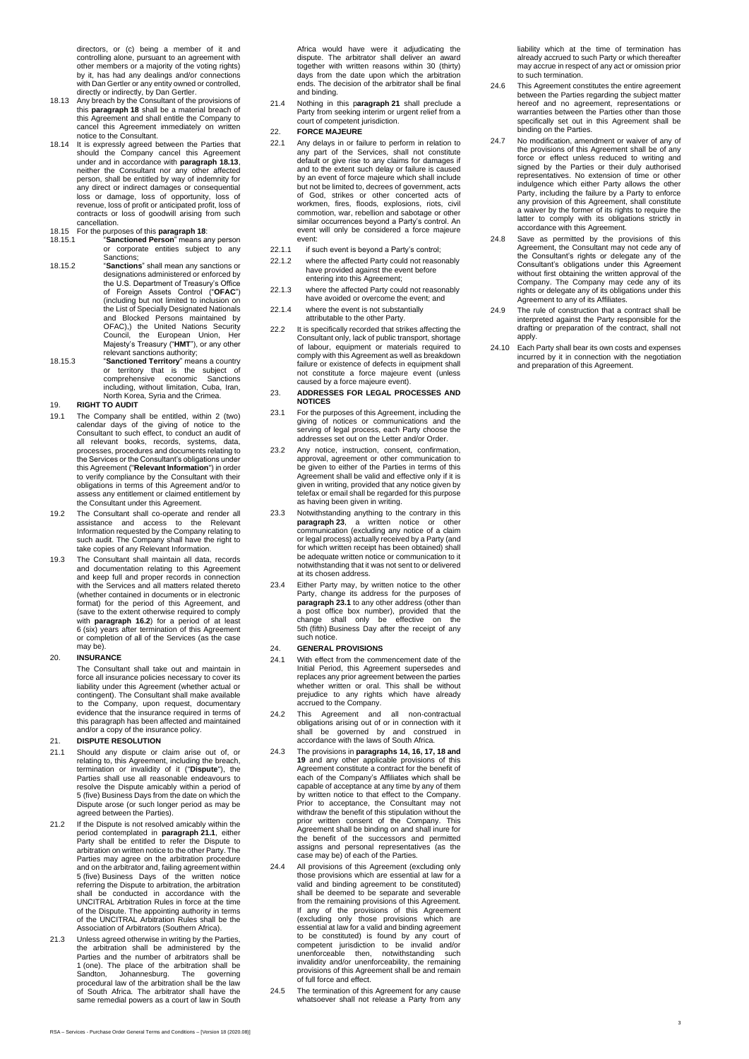directors, or (c) being a member of it and controlling alone, pursuant to an agreement with other members or a majority of the voting rights) by it, has had any dealings and/or connections with Dan Gertler or any entity owned or controlled, directly or indirectly, by Dan Gertler.

- 18.13 Any breach by the Consultant of the provisions of this **paragraph [18](#page-1-6)** shall be a material breach of this Agreement and shall entitle the Company to this Agreement and shall entire the Company to<br>cancel this Agreement immediately on written<br>notice to the Consultant.
- notice to the Consultant.<br>
18.14 It is expressly agreed between the Parties that<br>
It is expressly agreed between the Parties theorem in should the Company cancel this Agreement<br>
under and in accordance with **paragraph 18.1** contracts or loss of goodwill arising from such cancellation.

## 18.15 For the purposes of this **paragraph 18**: 18.15.1 "**Sanctioned Person**" means any person

- or corporate entities subject to any Sanctions;
- 18.15.2 "**Sanctions**" shall mean any sanctions or designations administered or enforced by the U.S. Department of Treasury's Office of Foreign Assets Control ("**OFAC**") (including but not limited to inclusion on the List of Specially Designated Nationals<br>and Blocked Persons maintained by<br>OFAC),) the United Nations Security<br>Council, the European Union, Her<br>Majesty's Treasury ("**HMT**"), or any other<br>relevant sanctions authority;<br>"Sa
- or territory that is the subject of comprehensive economic Sanctions including, without limitation, Cuba, Iran, North Korea, Syria and the Crimea.

## 19. **RIGHT TO AUDIT**

- 19.1 The Company shall be entitled, within 2 (two) calendar days of the giving of notice to the Consultant to such effect, to conduct an audit of all relevant books, records, systems, data, processes, procedures and documents relating to the Services or the Consultant's obligations under this Agreement ("**Relevant Information**") in order to verify compliance by the Consultant with their obligations in terms of this Agreement and/or to assess any entitlement or claimed entitlement by the Consultant under this Agreement.
- 19.2 The Consultant shall co-operate and render all assistance and access to the Relevant Information requested by the Company relating to such audit. The Company shall have the right to take copies of any Relevant Information.
- 19.3 The Consultant shall maintain all data, records and documentation relating to this Agreement and keep full and proper records in connection with the Services and all matters related thereto (whether contained in documents or in electronic format) for the period of this Agreement, and (save to the extent otherwise required to comply with **paragraph [16.2](#page-1-7)**) for a period of at least 6 (six) years after termination of this Agreement or completion of all of the Services (as the case may be).

#### 20. **INSURANCE**

The Consultant shall take out and maintain in force all insurance policies necessary to cover its liability under this Agreement (whether actual or contingent). The Consultant shall make available to the Company, upon request, documentary evidence that the insurance required in terms of this paragraph has been affected and maintained and/or a copy of the insurance policy.

#### <span id="page-2-0"></span>21. **DISPUTE RESOLUTION**

- <span id="page-2-1"></span>21.1 Should any dispute or claim arise out of, or relating to, this Agreement, including the breach, termination or invalidity of it ("**Dispute**"), the Parties shall use all reasonable endeavours to resolve the Dispute amicably within a period of 5 (five) Business Days from the date on which the Dispute arose (or such longer period as may be agreed between the Parties).
- 21.2 If the Dispute is not resolved amicably within the period contemplated in **paragraph [21.1](#page-2-1)**, either Party shall be entitled to refer the Dispute to arbitration on written notice to the other Party. The Parties may agree on the arbitration procedure and on the arbitrator and, failing agreement within 5 (five) Business Days of the written notice referring the Dispute to arbitration, the arbitration shall be conducted in accordance with the UNCITRAL Arbitration Rules in force at the time of the Dispute. The appointing authority in terms of the UNCITRAL Arbitration Rules shall be the Association of Arbitrators (Southern Africa).
- 21.3 Unless agreed otherwise in writing by the Parties, the arbitration shall be administered by the Parties and the number of arbitrators shall be 1 (one). The place of the arbitration shall be Sandton, Johannesburg. The governing procedural law of the arbitration shall be the law of South Africa. The arbitrator shall have the same remedial powers as a court of law in South

Africa would have were it adjudicating the dispute. The arbitrator shall deliver an award together with written reasons within 30 (thirty) days from the date upon which the arbitration ends. The decision of the arbitrator shall be final and binding.

21.4 Nothing in this p**aragraph [21](#page-2-0)** shall preclude a Party from seeking interim or urgent relief from a court of competent jurisdiction.

## 22. **FORCE MAJEURE**

- 22.1 Any delays in or failure to perform in relation to any part of the Services, shall not constitute default or give rise to any claims for damages if and to the extent such delay or failure is caused by an event of force majeure which shall include but not be limited to, decrees of government, acts of God, strikes or other concerted acts of workmen, fires, floods, explosions, riots, civil commotion, war, rebellion and sabotage or other similar occurrences beyond a Party's control. An event will only be considered a force majeure event:
- 22.1.1 if such event is beyond a Party's control;
- 22.1.2 where the affected Party could not reasonably have provided against the event before entering into this Agreement;
- 22.1.3 where the affected Party could not reasonably have avoided or overcome the event; and
- 22.1.4 where the event is not substantially attributable to the other Party.
- 22.2 It is specifically recorded that strikes affecting the Consultant only, lack of public transport, shortage of labour, equipment or materials required to comply with this Agreement as well as breakdown failure or existence of defects in equipment shall not constitute a force majeure event (unless caused by a force majeure event).
- <span id="page-2-2"></span>23. **ADDRESSES FOR LEGAL PROCESSES AND NOTICES**
- <span id="page-2-3"></span>23.1 For the purposes of this Agreement, including the giving of notices or communications and the serving of legal process, each Party choose the addresses set out on the Letter and/or Order.
- 23.2 Any notice, instruction, consent, confirmation, approval, agreement or other communication to be given to either of the Parties in terms of this Agreement shall be valid and effective only if it is given in writing, provided that any notice given by telefax or email shall be regarded for this purpose as having been given in writing.
- 23.3 Notwithstanding anything to the contrary in this **paragraph [23](#page-2-2)**, a written notice or other communication (excluding any notice of a claim or legal process) actually received by a Party (and for which written receipt has been obtained) shall be adequate written notice or communication to it notwithstanding that it was not sent to or delivered at its chosen address.
- 23.4 Either Party may, by written notice to the other Party, change its address for the purposes of the pranagraph [23.1](#page-2-3) to any other address (other than a post office box number), provided that the change shall only be eff such notice.

#### 24. **GENERAL PROVISIONS**

- 24.1 With effect from the commencement date of the Initial Period, this Agreement supersedes and replaces any prior agreement between the parties whether written or oral. This shall be without prejudice to any rights which have already accrued to the Company.
- 24.2 This Agreement and all non-contractual obligations arising out of or in connection with it shall be governed by and construed in accordance with the laws of South Africa.
- 24.3 The provisions in **paragraphs [14,](#page-1-2) [16,](#page-1-3) [17,](#page-1-4) [18](#page-1-6) and 19** and any other applicable provisions of this Agreement constitute a contract for the benefit of each of the Company's Affiliates which shall be capable of acceptance at any time by any of them by written notice to that effect to the Company. Prior to acceptance, the Consultant may not withdraw the benefit of this stipulation without the prior written consent of the Company. This Agreement shall be binding on and shall inure for the benefit of the successors and permitted assigns and personal representatives (as the case may be) of each of the Parties.
- 24.4 All provisions of this Agreement (excluding only those provisions which are essential at law for a valid and binding agreement to be constituted) shall be deemed to be separate and severable from the remaining provisions of this Agreement.<br>If any of the provisions of this Agreement<br>(excluding only those provisions which are<br>essential at law for a valid and binding agreement<br>to be constituted) is found by any c of full force and effect.
- 24.5 The termination of this Agreement for any cause whatsoever shall not release a Party from any

liability which at the time of termination has already accrued to such Party or which thereafter may accrue in respect of any act or omission prior to such termination.

- 24.6 This Agreement constitutes the entire agreement between the Parties regarding the subject matter hereof and no agreement, representations or warranties between the Parties other than those specifically set out in this Agreement shall be binding on the Parties.
- 24.7 No modification, amendment or waiver of any of the provisions of this Agreement shall be of any force or effect unless reduced to writing and signed by the Parties or their duly authorised representatives. No extension of time or other indulgence which either Party allows the other Party, including the failure by a Party to enforce any provision of this Agreement, shall constitute a waiver by the former of its rights to require the latter to comply with its obligations strictly in accordance with this Agreement.
- 24.8 Save as permitted by the provisions of this Agreement, the Consultant may not cede any of the Consultant's rights or delegate any of the Consultant's obligations under this Agreement without first obtaining the written approval of the Company. The Company may cede any of its obligate any of its Affiliates.<br>Tights or delegate any of its obligations under this Agreement to any of its Affiliates.
- 24.9 The rule of construction that a contract shall be interpreted against the Party responsible for the drafting or preparation of the contract, shall not apply.
- 24.10 Each Party shall bear its own costs and expenses incurred by it in connection with the negotiation and preparation of this Agreement.

3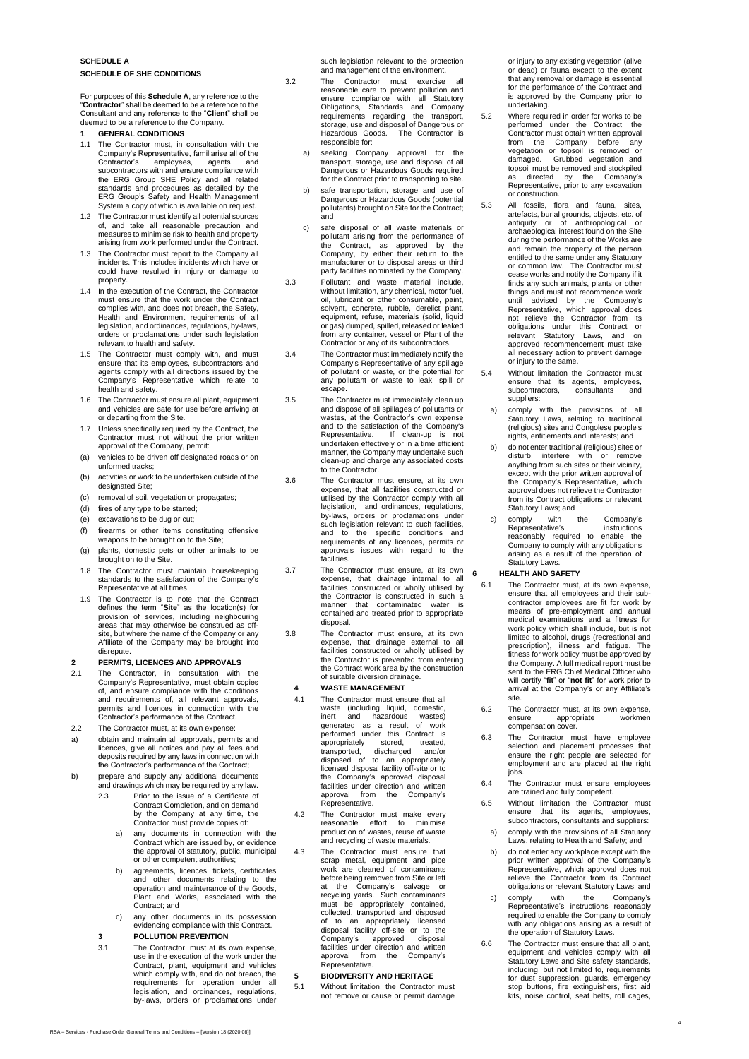## **SCHEDULE A SCHEDULE OF SHE CONDITIONS**

For purposes of this **Schedule A**, any reference to the "**Contractor**" shall be deemed to be a reference to the Consultant and any reference to the "**Client**" shall be deemed to be a reference to the Company.

- **1 GENERAL CONDITIONS**
- 1.1 The Contractor must, in consultation with the Company's Representative, familiarise all of the Contractor's employees, agents and subcontractors with and ensure compliance with the ERG Group SHE Policy and all related standards and procedures as detailed by the ERG Group's Safety and Health Management System a copy of which is available on request.
- 1.2 The Contractor must identify all potential sources of, and take all reasonable precaution and measures to minimise risk to health and property arising from work performed under the Contract.
- 1.3 The Contractor must report to the Company all incidents. This includes incidents which have or could have resulted in injury or damage to property.
- 1.4 In the execution of the Contract, the Contractor must ensure that the work under the Contract complies with, and does not breach, the Safety, Health and Environment requirements of all legislation, and ordinances, regulations, by-laws, orders or proclamations under such legislation relevant to health and safety.
- 1.5 The Contractor must comply with, and must ensure that its employees, subcontractors and agents comply with all directions issued by the Company's Representative which relate to health and safety.
- 1.6 The Contractor must ensure all plant, equipment and vehicles are safe for use before arriving at or departing from the Site.
- 1.7 Unless specifically required by the Contract, the Contractor must not without the prior written approval of the Company, permit:
- (a) vehicles to be driven off designated roads or on unformed tracks;
- (b) activities or work to be undertaken outside of the designated Site;
- (c) removal of soil, vegetation or propagates;
- (d) fires of any type to be started;
- (e) excavations to be dug or cut;
- (f) firearms or other items constituting offensive weapons to be brought on to the Site;
- (g) plants, domestic pets or other animals to be brought on to the Site.
- 1.8 The Contractor must maintain housekeeping standards to the satisfaction of the Company's Representative at all times.
- 1.9 The Contractor is to note that the Contract defines the term "**Site**" as the location(s) for provision of services, including neighbouring areas that may otherwise be construed as offsite, but where the name of the Company or any Affiliate of the Company may be brought into disrepute.

#### **2 PERMITS, LICENCES AND APPROVALS**

2.1 The Contractor, in consultation with the Company's Representative, must obtain copies of, and ensure compliance with the conditions and requirements of, all relevant approvals, permits and licences in connection with the Contractor's performance of the Contract.

### 2.2 The Contractor must, at its own expense:

- a) obtain and maintain all approvals, permits and licences, give all notices and pay all fees and deposits required by any laws in connection with the Contractor's performance of the Contract;
- b) prepare and supply any additional documents and drawings which may be required by any law. 2.3 Prior to the issue of a Certificate of
	- Contract Completion, and on demand by the Company at any time, the Contractor must provide copies of:
	- a) any documents in connection with the Contract which are issued by, or evidence the approval of statutory, public, municipal or other competent authorities;
	- b) agreements, licences, tickets, certificates and other documents relating to the operation and maintenance of the Goods, Plant and Works, associated with the Contract; and
	- c) any other documents in its possession evidencing compliance with this Contract. **3 POLLUTION PREVENTION**
	- 3.1 The Contractor, must at its own expense, use in the execution of the work under the Contract, plant, equipment and vehicles<br>which comply with, and do not breach, the<br>requirements for operation under all<br>legislation, and ordinances, regulations,<br>by-laws, orders or proclamations under

such legislation relevant to the protection and management of the environment.

- 3.2 The Contractor must exercise reasonable care to prevent pollution and ensure compliance with all Statutory Obligations, Standards and Company requirements regarding the transport, storage, use and disposal of Dangerous or Hazardous Goods. The Contractor is responsible for:
	- a) seeking Company approval for the transport, storage, use and disposal of all Dangerous or Hazardous Goods required for the Contract prior to transporting to site.
	- b) safe transportation, storage and use of Dangerous or Hazardous Goods (potential pollutants) brought on Site for the Contract; and
	- c) safe disposal of all waste materials or pollutant arising from the performance of<br>the Contract, as approved by the<br>Company, by either their return to the<br>manufacturer or to disposal areas or third party facilities nominated by the Company.
- 3.3 Pollutant and waste material include, without limitation, any chemical, motor fuel, oil, lubricant or other consumable, paint, solvent, concrete, rubble, derelict plant, equipment, refuse, materials (solid, liquid or gas) dumped, spilled, released or leaked from any container, vessel or Plant of the Contractor or any of its subcontractors.
- 3.4 The Contractor must immediately notify the Company's Representative of any spillage of pollutant or waste, or the potential for any pollutant or waste to leak, spill or escape.
- 3.5 The Contractor must immediately clean up and dispose of all spillages of pollutants or wastes, at the Contractor's own expense and to the satisfaction of the Company's Representative. If clean-up is not undertaken effectively or in a time efficient manner, the Company may undertake such clean-up and charge any associated costs to the Contractor.
- 3.6 The Contractor must ensure, at its own expense, that all facilities constructed or utilised by the Contractor comply with all legislation, and ordinances, regulations, by-laws, orders or proclamations under such legislation relevant to such facilities, and to the specific conditions and requirements of any licences, permits or approvals issues with regard to the facilities.
- 3.7 The Contractor must ensure, at its own expense, that drainage internal to all facilities constructed or wholly utilised by the Contractor is constructed in such a manner that contaminated water is contained and treated prior to appropriate disposal.
- 3.8 The Contractor must ensure, at its own expense, that drainage external to all facilities constructed or wholly utilised by the Contractor is prevented from entering the Contract work area by the construction of suitable diversion drainage.

## **4 WASTE MANAGEMENT**

- 4.1 The Contractor must ensure that all waste (including liquid, domestic)<br>inert and hazardous wastes)<br>generated as a result of work<br>performed under this Contract is<br>appropriately stored, treated,<br>transported, discharged and/or appropriately stored, treated,<br>transported, discharged and/or<br>disposed of to an appropriately licensed disposal facility off-site or to the Company's approved disposal facilities under direction and written approval from the Company's Representative.
- 4.2 The Contractor must make every reasonable effort to minimise production of wastes, reuse of waste and recycling of waste materials.
- 4.3 The Contractor must ensure that scrap metal, equipment and pipe work are cleaned of contaminants before being removed from Site or left at the Company's salvage or recycling yards. Such contaminants must be appropriately contained, collected, transported and disposed<br>of to an appropriately licensed<br>disposal facility off-site or to the<br>Company's approved disposal<br>facilities under direction and written approval from the Company's Representative.

#### **5 BIODIVERSITY AND HERITAGE**

5.1 Without limitation, the Contractor must not remove or cause or permit damage or injury to any existing vegetation (alive or dead) or fauna except to the extent that any removal or damage is essential for the performance of the Contract and is approved by the Company prior to undertaking.

- 5.2 Where required in order for works to be performed under the Contract, the Contractor must obtain written approval from the Company before any vegetation or topsoil is removed or damaged. Grubbed vegetation and topsoil must be removed and stockpiled as directed by the Company's Representative, prior to any excavation or construction.
- 5.3 All fossils, flora and fauna, sites, artefacts, burial grounds, objects, etc. of antiquity or of anthropological or archaeological interest found on the Site during the performance of the Works are and remain the property of the person entitled to the same under any Statutory or common law. The Contractor must cease works and notify the Company if it finds any such animals, plants or other<br>things and must not recommence work<br>until advised by the Company's<br>Representative, which approval does<br>not relieve the Contractor from its<br>obligations under this Contract or<br>relevant approved recommencement must take all necessary action to prevent damage or injury to the same.
- 5.4 Without limitation the Contractor must ensure that its agents, employees, subcontractors, consultants and suppliers:
- a) comply with the provisions of all Statutory Laws, relating to traditional (religious) sites and Congolese people's rights, entitlements and interests; and
- b) do not enter traditional (religious) sites or disturb, interfere with or remove anything from such sites or their vicinity, except with the prior written approval of the Company's Representative, which approval does not relieve the Contractor from its Contract obligations or relevant Statutory Laws; and
- comply with the Company's Representative's instructions reasonably required to enable the Company to comply with any obligations arising as a result of the operation of Statutory Laws.

#### **6 HEALTH AND SAFETY**

- 6.1 The Contractor must, at its own expense, ensure that all employees and their sub-contractor employees are fit for work by means of pre-employment and annual medical examinations and a fitness for work policy which shall include, but is not limited to alcohol, drugs (recreational and prescription), illness and fatigue. The fitness for work policy must be the Company. A full medical report must be sent to the ERG Chief Medical Officer who will certify "**fit**" or "**not fit**" for work prior to arrival at the Company's or any Affiliate's site.
- 6.2 The Contractor must, at its own expense, ensure appropriate workmen compensation cover.
- 6.3 The Contractor must have employee selection and placement processes that ensure the right people are selected for employment and are placed at the right jobs.
- 6.4 The Contractor must ensure employees are trained and fully competent.
- 6.5 Without limitation the Contractor must ensure that its agents, employees, subcontractors, consultants and suppliers:
- a) comply with the provisions of all Statutory Laws, relating to Health and Safety; and b) do not enter any workplace except with the
- prior written approval of the Company's Representative, which approval does not relieve the Contractor from its Contract obligations or relevant Statutory Laws; and
- c) comply with the Company's Representative's instructions reasonably required to enable the Company to comply with any obligations arising as a result of the operation of Statutory Laws.
- 6.6 The Contractor must ensure that all plant, equipment and vehicles comply with all Statutory Laws and Site safety standards, including, but not limited to, requirements for dust suppression, guards, emergency stop buttons, fire extinguishers, first aid kits, noise control, seat belts, roll cages,